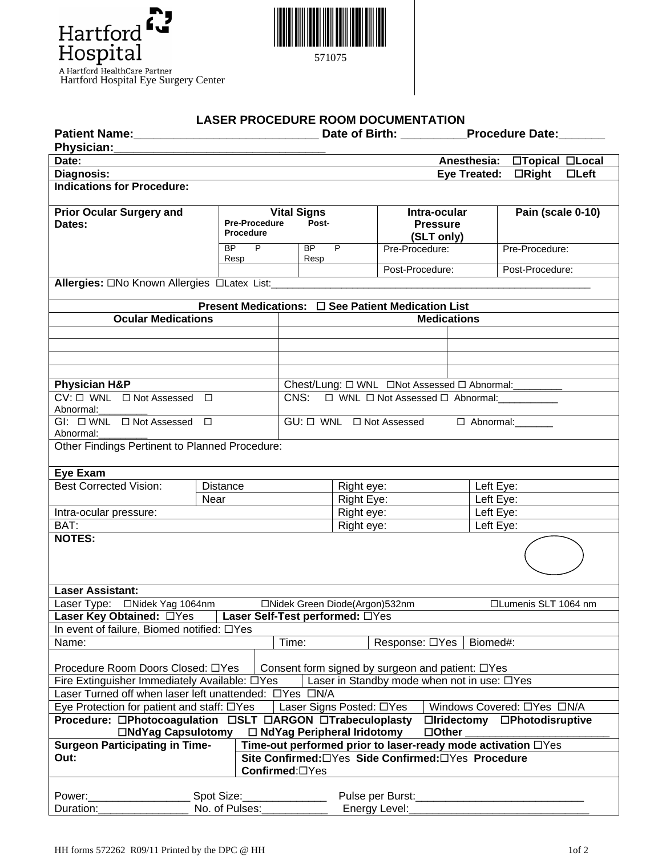



571075

## **LASER PROCEDURE ROOM DOCUMENTATION**

|                                                                                                                                                                 |                                   |                                                      | Date of Birth: Procedure Date:                                       |                          |                 |              |           |                             |  |  |  |
|-----------------------------------------------------------------------------------------------------------------------------------------------------------------|-----------------------------------|------------------------------------------------------|----------------------------------------------------------------------|--------------------------|-----------------|--------------|-----------|-----------------------------|--|--|--|
| Physician:                                                                                                                                                      |                                   |                                                      |                                                                      |                          |                 |              |           |                             |  |  |  |
| Date:                                                                                                                                                           |                                   |                                                      |                                                                      |                          |                 |              |           | Anesthesia: □Topical □Local |  |  |  |
| Diagnosis:                                                                                                                                                      |                                   |                                                      |                                                                      |                          |                 |              |           | Eye Treated: CRight CLeft   |  |  |  |
| <b>Indications for Procedure:</b>                                                                                                                               |                                   |                                                      |                                                                      |                          |                 |              |           |                             |  |  |  |
|                                                                                                                                                                 |                                   |                                                      |                                                                      |                          |                 |              |           |                             |  |  |  |
| <b>Prior Ocular Surgery and</b>                                                                                                                                 |                                   |                                                      | <b>Vital Signs</b>                                                   |                          |                 | Intra-ocular |           | Pain (scale 0-10)           |  |  |  |
| Dates:                                                                                                                                                          | <b>Pre-Procedure</b><br>Procedure |                                                      | Post-                                                                |                          | <b>Pressure</b> |              |           |                             |  |  |  |
|                                                                                                                                                                 |                                   |                                                      |                                                                      |                          | (SLT only)      |              |           |                             |  |  |  |
| BP<br>P.<br>Resp                                                                                                                                                |                                   |                                                      | BP<br>P.<br>Resp                                                     |                          | Pre-Procedure:  |              |           | Pre-Procedure:              |  |  |  |
|                                                                                                                                                                 |                                   |                                                      |                                                                      |                          | Post-Procedure: |              |           | Post-Procedure:             |  |  |  |
| Allergies: ONo Known Allergies OLatex List:____________                                                                                                         |                                   |                                                      |                                                                      |                          |                 |              |           |                             |  |  |  |
|                                                                                                                                                                 |                                   |                                                      |                                                                      |                          |                 |              |           |                             |  |  |  |
| Present Medications: □ See Patient Medication List                                                                                                              |                                   |                                                      |                                                                      |                          |                 |              |           |                             |  |  |  |
| <b>Ocular Medications</b>                                                                                                                                       |                                   | <b>Medications</b>                                   |                                                                      |                          |                 |              |           |                             |  |  |  |
|                                                                                                                                                                 |                                   |                                                      |                                                                      |                          |                 |              |           |                             |  |  |  |
|                                                                                                                                                                 |                                   |                                                      |                                                                      |                          |                 |              |           |                             |  |  |  |
|                                                                                                                                                                 |                                   |                                                      |                                                                      |                          |                 |              |           |                             |  |  |  |
|                                                                                                                                                                 |                                   |                                                      |                                                                      |                          |                 |              |           |                             |  |  |  |
| <b>Physician H&amp;P</b>                                                                                                                                        |                                   |                                                      | Chest/Lung: $\square$ WNL $\square$ Not Assessed $\square$ Abnormal: |                          |                 |              |           |                             |  |  |  |
| $CV: \Box$ WNL $\Box$ Not Assessed $\Box$<br>Abnormal:                                                                                                          |                                   | CNS: $\Box$ WNL $\Box$ Not Assessed $\Box$ Abnormal: |                                                                      |                          |                 |              |           |                             |  |  |  |
| $GI: \Box WNL \Box Not Assessed \Box$<br>GU: $\Box$ WNL $\Box$ Not Assessed $\Box$ Abnormal:                                                                    |                                   |                                                      |                                                                      |                          |                 |              |           |                             |  |  |  |
| Abnormal:                                                                                                                                                       |                                   |                                                      |                                                                      |                          |                 |              |           |                             |  |  |  |
| Other Findings Pertinent to Planned Procedure:                                                                                                                  |                                   |                                                      |                                                                      |                          |                 |              |           |                             |  |  |  |
|                                                                                                                                                                 |                                   |                                                      |                                                                      |                          |                 |              |           |                             |  |  |  |
| Eye Exam                                                                                                                                                        |                                   |                                                      |                                                                      |                          |                 |              |           |                             |  |  |  |
| <b>Best Corrected Vision:</b>                                                                                                                                   | Distance                          |                                                      |                                                                      |                          | Right eye:      |              |           | Left Eye:                   |  |  |  |
| Near                                                                                                                                                            |                                   |                                                      | Right Eye:                                                           |                          |                 |              | Left Eye: |                             |  |  |  |
| Intra-ocular pressure:                                                                                                                                          |                                   | Right eye:                                           |                                                                      |                          |                 | Left Eye:    |           |                             |  |  |  |
| BAT:                                                                                                                                                            |                                   |                                                      |                                                                      | Right eye:               |                 |              | Left Eye: |                             |  |  |  |
| <b>NOTES:</b>                                                                                                                                                   |                                   |                                                      |                                                                      |                          |                 |              |           |                             |  |  |  |
| <b>Laser Assistant:</b>                                                                                                                                         |                                   |                                                      |                                                                      |                          |                 |              |           |                             |  |  |  |
| Laser Type: □Nidek Yag 1064nm<br>□Lumenis SLT 1064 nm<br>□Nidek Green Diode(Argon)532nm<br>Laser Self-Test performed: OYes                                      |                                   |                                                      |                                                                      |                          |                 |              |           |                             |  |  |  |
| Laser Key Obtained: □Yes                                                                                                                                        |                                   |                                                      |                                                                      |                          |                 |              |           |                             |  |  |  |
| In event of failure, Biomed notified: OYes<br>Name:                                                                                                             |                                   | Time:                                                |                                                                      |                          | Response: □Yes  |              | Biomed#:  |                             |  |  |  |
|                                                                                                                                                                 |                                   |                                                      |                                                                      |                          |                 |              |           |                             |  |  |  |
| Procedure Room Doors Closed: □Yes<br>Consent form signed by surgeon and patient: □Yes                                                                           |                                   |                                                      |                                                                      |                          |                 |              |           |                             |  |  |  |
| Fire Extinguisher Immediately Available: DYes<br>Laser in Standby mode when not in use: DYes                                                                    |                                   |                                                      |                                                                      |                          |                 |              |           |                             |  |  |  |
| Laser Turned off when laser left unattended: $\Box$ Yes $\Box$ N/A                                                                                              |                                   |                                                      |                                                                      |                          |                 |              |           |                             |  |  |  |
| Eye Protection for patient and staff: □Yes                                                                                                                      |                                   |                                                      |                                                                      | Laser Signs Posted: □Yes |                 |              |           | Windows Covered: OYes ON/A  |  |  |  |
| Procedure: □Photocoagulation □SLT □ARGON □Trabeculoplasty<br>□Iridectomy □Photodisruptive<br>□ NdYag Peripheral Iridotomy<br>□NdYag Capsulotomy<br>$\Box$ Other |                                   |                                                      |                                                                      |                          |                 |              |           |                             |  |  |  |
| <b>Surgeon Participating in Time-</b>                                                                                                                           |                                   |                                                      |                                                                      |                          |                 |              |           |                             |  |  |  |
| Time-out performed prior to laser-ready mode activation DYes<br>Site Confirmed:□Yes Side Confirmed:□Yes Procedure<br>Out:<br>Confirmed:□Yes                     |                                   |                                                      |                                                                      |                          |                 |              |           |                             |  |  |  |
|                                                                                                                                                                 |                                   |                                                      |                                                                      |                          |                 |              |           |                             |  |  |  |
| Spot Size: Spot Size:<br>Power:______________                                                                                                                   |                                   |                                                      |                                                                      |                          |                 |              |           |                             |  |  |  |
| Duration:                                                                                                                                                       | No. of Pulses:                    |                                                      |                                                                      |                          | Energy Level:   |              |           |                             |  |  |  |